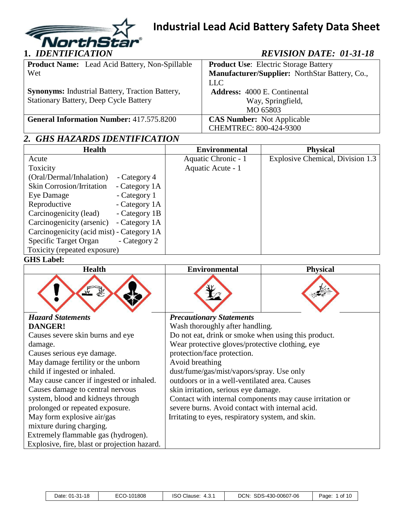

| <b>Product Name:</b> Lead Acid Battery, Non-Spillable  | <b>Product Use:</b> Electric Storage Battery   |
|--------------------------------------------------------|------------------------------------------------|
| Wet                                                    | Manufacturer/Supplier: NorthStar Battery, Co., |
|                                                        | <b>LLC</b>                                     |
| <b>Synonyms:</b> Industrial Battery, Traction Battery, | <b>Address:</b> 4000 E. Continental            |
| <b>Stationary Battery, Deep Cycle Battery</b>          | Way, Springfield,                              |
|                                                        | MO 65803                                       |
| <b>General Information Number: 417.575.8200</b>        | <b>CAS Number:</b> Not Applicable              |
|                                                        | CHEMTREC: 800-424-9300                         |

# *2. GHS HAZARDS IDENTIFICATION*

| <b>Health</b>                                     | <b>Environmental</b> | <b>Physical</b>                  |
|---------------------------------------------------|----------------------|----------------------------------|
| Acute                                             | Aquatic Chronic - 1  | Explosive Chemical, Division 1.3 |
| Toxicity                                          | Aquatic Acute - 1    |                                  |
| (Oral/Dermal/Inhalation)<br>- Category 4          |                      |                                  |
| <b>Skin Corrosion/Irritation</b><br>- Category 1A |                      |                                  |
| - Category 1<br>Eye Damage                        |                      |                                  |
| Reproductive<br>- Category 1A                     |                      |                                  |
| Carcinogenicity (lead)<br>- Category 1B           |                      |                                  |
| Carcinogenicity (arsenic)<br>- Category 1A        |                      |                                  |
| Carcinogenicity (acid mist) - Category 1A         |                      |                                  |
| Specific Target Organ<br>- Category 2             |                      |                                  |
| Toxicity (repeated exposure)                      |                      |                                  |

### **GHS Label:**

| <b>Health</b>                                | <b>Environmental</b>                                     | <b>Physical</b> |
|----------------------------------------------|----------------------------------------------------------|-----------------|
|                                              |                                                          |                 |
| <b>Hazard Statements</b>                     | <b>Precautionary Statements</b>                          |                 |
| DANGER!                                      | Wash thoroughly after handling.                          |                 |
| Causes severe skin burns and eye             | Do not eat, drink or smoke when using this product.      |                 |
| damage.                                      | Wear protective gloves/protective clothing, eye          |                 |
| Causes serious eye damage.                   | protection/face protection.                              |                 |
| May damage fertility or the unborn           | Avoid breathing                                          |                 |
| child if ingested or inhaled.                | dust/fume/gas/mist/vapors/spray. Use only                |                 |
| May cause cancer if ingested or inhaled.     | outdoors or in a well-ventilated area. Causes            |                 |
| Causes damage to central nervous             | skin irritation, serious eye damage.                     |                 |
| system, blood and kidneys through            | Contact with internal components may cause irritation or |                 |
| prolonged or repeated exposure.              | severe burns. Avoid contact with internal acid.          |                 |
| May form explosive air/gas                   | Irritating to eyes, respiratory system, and skin.        |                 |
| mixture during charging.                     |                                                          |                 |
| Extremely flammable gas (hydrogen).          |                                                          |                 |
| Explosive, fire, blast or projection hazard. |                                                          |                 |

| $01-31-18$<br>Date: | $\neg \wedge \wedge$ .<br>101808<br>. .<br>U | ISO<br>Clause:<br>. 4.ఎ. | DCN:<br>SDS-430-00607-06 | of 10<br>Page: |
|---------------------|----------------------------------------------|--------------------------|--------------------------|----------------|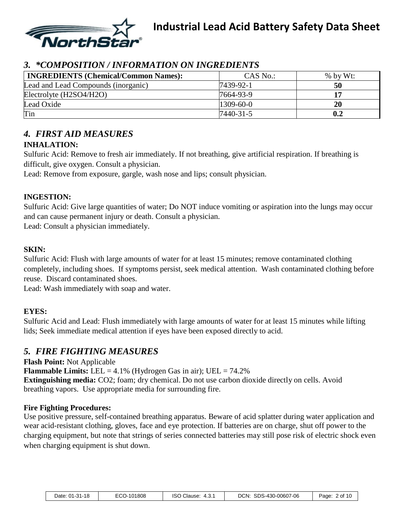

### *3. \*COMPOSITION / INFORMATION ON INGREDIENTS*

| <b>INGREDIENTS (Chemical/Common Names):</b> | $CAS$ No.:      | % by Wt: |
|---------------------------------------------|-----------------|----------|
| Lead and Lead Compounds (inorganic)         | 7439-92-1       | 50       |
| Electrolyte (H2SO4/H2O)                     | 7664-93-9       | 17       |
| Lead Oxide                                  | $1309 - 60 - 0$ | 20       |
| Tin                                         | 7440-31-5       | 0.2      |

### *4. FIRST AID MEASURES*

#### **INHALATION:**

Sulfuric Acid: Remove to fresh air immediately. If not breathing, give artificial respiration. If breathing is difficult, give oxygen. Consult a physician.

Lead: Remove from exposure, gargle, wash nose and lips; consult physician.

#### **INGESTION:**

Sulfuric Acid: Give large quantities of water; Do NOT induce vomiting or aspiration into the lungs may occur and can cause permanent injury or death. Consult a physician.

Lead: Consult a physician immediately.

#### **SKIN:**

Sulfuric Acid: Flush with large amounts of water for at least 15 minutes; remove contaminated clothing completely, including shoes. If symptoms persist, seek medical attention. Wash contaminated clothing before reuse. Discard contaminated shoes.

Lead: Wash immediately with soap and water.

#### **EYES:**

Sulfuric Acid and Lead: Flush immediately with large amounts of water for at least 15 minutes while lifting lids; Seek immediate medical attention if eyes have been exposed directly to acid.

### *5. FIRE FIGHTING MEASURES*

**Flash Point:** Not Applicable **Flammable Limits:** LEL =  $4.1\%$  (Hydrogen Gas in air); UEL =  $74.2\%$ **Extinguishing media:** CO2; foam; dry chemical. Do not use carbon dioxide directly on cells. Avoid breathing vapors. Use appropriate media for surrounding fire.

#### **Fire Fighting Procedures:**

Use positive pressure, self-contained breathing apparatus. Beware of acid splatter during water application and wear acid-resistant clothing, gloves, face and eye protection. If batteries are on charge, shut off power to the charging equipment, but note that strings of series connected batteries may still pose risk of electric shock even when charging equipment is shut down.

| Date: 01-31-18 | ECO-101808 | <b>ISO Clause:</b><br>4.3. | SDS-430-00607-06<br>DCN. | $2$ of 1 $\epsilon$<br>Page: |
|----------------|------------|----------------------------|--------------------------|------------------------------|
|----------------|------------|----------------------------|--------------------------|------------------------------|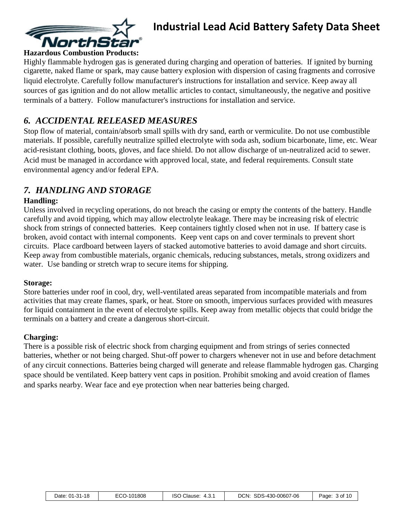

#### **Hazardous Combustion Products:**

Highly flammable hydrogen gas is generated during charging and operation of batteries. If ignited by burning cigarette, naked flame or spark, may cause battery explosion with dispersion of casing fragments and corrosive liquid electrolyte. Carefully follow manufacturer's instructions for installation and service. Keep away all sources of gas ignition and do not allow metallic articles to contact, simultaneously, the negative and positive terminals of a battery. Follow manufacturer's instructions for installation and service.

### *6. ACCIDENTAL RELEASED MEASURES*

Stop flow of material, contain/absorb small spills with dry sand, earth or vermiculite. Do not use combustible materials. If possible, carefully neutralize spilled electrolyte with soda ash, sodium bicarbonate, lime, etc. Wear acid-resistant clothing, boots, gloves, and face shield. Do not allow discharge of un-neutralized acid to sewer. Acid must be managed in accordance with approved local, state, and federal requirements. Consult state environmental agency and/or federal EPA.

### *7. HANDLING AND STORAGE*

#### **Handling:**

Unless involved in recycling operations, do not breach the casing or empty the contents of the battery. Handle carefully and avoid tipping, which may allow electrolyte leakage. There may be increasing risk of electric shock from strings of connected batteries. Keep containers tightly closed when not in use. If battery case is broken, avoid contact with internal components. Keep vent caps on and cover terminals to prevent short circuits. Place cardboard between layers of stacked automotive batteries to avoid damage and short circuits. Keep away from combustible materials, organic chemicals, reducing substances, metals, strong oxidizers and water. Use banding or stretch wrap to secure items for shipping.

#### **Storage:**

Store batteries under roof in cool, dry, well-ventilated areas separated from incompatible materials and from activities that may create flames, spark, or heat. Store on smooth, impervious surfaces provided with measures for liquid containment in the event of electrolyte spills. Keep away from metallic objects that could bridge the terminals on a battery and create a dangerous short-circuit.

#### **Charging:**

There is a possible risk of electric shock from charging equipment and from strings of series connected batteries, whether or not being charged. Shut-off power to chargers whenever not in use and before detachment of any circuit connections. Batteries being charged will generate and release flammable hydrogen gas. Charging space should be ventilated. Keep battery vent caps in position. Prohibit smoking and avoid creation of flames and sparks nearby. Wear face and eye protection when near batteries being charged.

| Date: 01-31-18 | ECO-101808 | <b>ISO Clause:</b><br>4.3.1 | DCN: SDS-430-00607-06 | Page: 3 of 10 |
|----------------|------------|-----------------------------|-----------------------|---------------|
|----------------|------------|-----------------------------|-----------------------|---------------|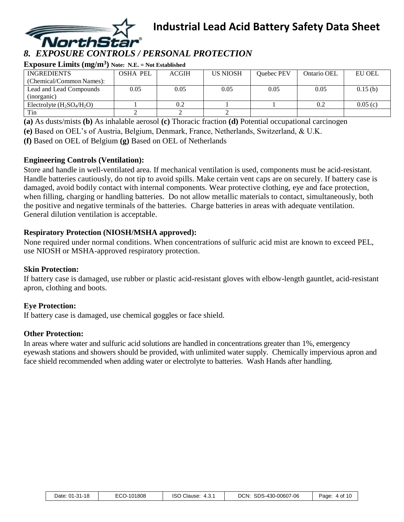

# *8. EXPOSURE CONTROLS / PERSONAL PROTECTION*

**Exposure Limits (mg/m<sup>3</sup> ) Note: N.E. = Not Established**

| $\bullet$                    |          |              |                 |            |             |               |
|------------------------------|----------|--------------|-----------------|------------|-------------|---------------|
| <b>INGREDIENTS</b>           | OSHA PEL | <b>ACGIH</b> | <b>US NIOSH</b> | Quebec PEV | Ontario OEL | <b>EU OEL</b> |
| (Chemical/Common Names):     |          |              |                 |            |             |               |
| Lead and Lead Compounds      | 0.05     | 0.05         | 0.05            | 0.05       | 0.05        | 0.15(b)       |
| (inorganic)                  |          |              |                 |            |             |               |
| Electrolyte $(H_2SO_4/H_2O)$ |          |              |                 |            | 0.2         | 0.05(c)       |
| Tin                          |          |              |                 |            |             |               |

**(a)** As dusts/mists **(b)** As inhalable aerosol **(c)** Thoracic fraction **(d)** Potential occupational carcinogen

**(e)** Based on OEL's of Austria, Belgium, Denmark, France, Netherlands, Switzerland, & U.K.

**(f)** Based on OEL of Belgium **(g)** Based on OEL of Netherlands

#### **Engineering Controls (Ventilation):**

Store and handle in well-ventilated area. If mechanical ventilation is used, components must be acid-resistant. Handle batteries cautiously, do not tip to avoid spills. Make certain vent caps are on securely. If battery case is damaged, avoid bodily contact with internal components. Wear protective clothing, eye and face protection, when filling, charging or handling batteries. Do not allow metallic materials to contact, simultaneously, both the positive and negative terminals of the batteries. Charge batteries in areas with adequate ventilation. General dilution ventilation is acceptable.

#### **Respiratory Protection (NIOSH/MSHA approved):**

None required under normal conditions. When concentrations of sulfuric acid mist are known to exceed PEL, use NIOSH or MSHA-approved respiratory protection.

#### **Skin Protection:**

If battery case is damaged, use rubber or plastic acid-resistant gloves with elbow-length gauntlet, acid-resistant apron, clothing and boots.

#### **Eye Protection:**

If battery case is damaged, use chemical goggles or face shield.

#### **Other Protection:**

In areas where water and sulfuric acid solutions are handled in concentrations greater than 1%, emergency eyewash stations and showers should be provided, with unlimited water supply. Chemically impervious apron and face shield recommended when adding water or electrolyte to batteries. Wash Hands after handling.

| Date: 01-31-18 | ECO-101808 | ISO Clause: 4.3.1 | DCN: SDS-430-00607-06 | Page: 4 of 10 |
|----------------|------------|-------------------|-----------------------|---------------|
|----------------|------------|-------------------|-----------------------|---------------|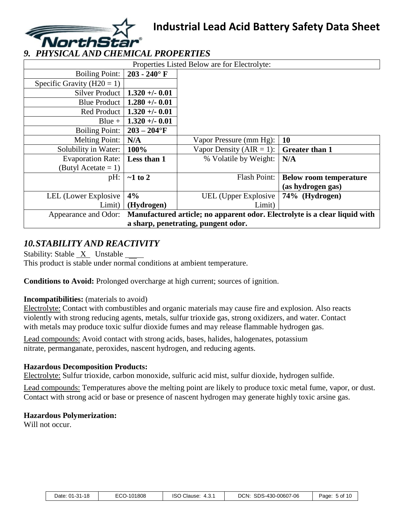

# *9. PHYSICAL AND CHEMICAL PROPERTIES*

| Properties Listed Below are for Electrolyte: |                 |                                                                            |                               |  |  |
|----------------------------------------------|-----------------|----------------------------------------------------------------------------|-------------------------------|--|--|
| <b>Boiling Point:</b>                        | $203 - 240$ °F  |                                                                            |                               |  |  |
| Specific Gravity ( $H20 = 1$ )               |                 |                                                                            |                               |  |  |
| Silver Product                               | $1.320 + -0.01$ |                                                                            |                               |  |  |
| Blue Product                                 | $1.280 + -0.01$ |                                                                            |                               |  |  |
| Red Product                                  | $1.320 + -0.01$ |                                                                            |                               |  |  |
| $Blue +$                                     | $1.320 + -0.01$ |                                                                            |                               |  |  |
| <b>Boiling Point:</b>                        | $203 - 204$ °F  |                                                                            |                               |  |  |
| <b>Melting Point:</b>                        | N/A             | Vapor Pressure (mm Hg):                                                    | <b>10</b>                     |  |  |
| Solubility in Water:                         | 100%            | Vapor Density ( $AIR = 1$ ):                                               | <b>Greater than 1</b>         |  |  |
| <b>Evaporation Rate:</b>                     | Less than 1     | % Volatile by Weight:                                                      | N/A                           |  |  |
| (Butyl Acetate $= 1$ )                       |                 |                                                                            |                               |  |  |
| pH:                                          | $\sim$ 1 to 2   | <b>Flash Point:</b>                                                        | <b>Below room temperature</b> |  |  |
|                                              |                 |                                                                            | (as hydrogen gas)             |  |  |
| <b>LEL</b> (Lower Explosive                  | 4%              | <b>UEL</b> (Upper Explosive                                                | 74% (Hydrogen)                |  |  |
| Limit)                                       | (Hydrogen)      | Limit)                                                                     |                               |  |  |
| Appearance and Odor:                         |                 | Manufactured article; no apparent odor. Electrolyte is a clear liquid with |                               |  |  |
| a sharp, penetrating, pungent odor.          |                 |                                                                            |                               |  |  |

## *10.STABILITY AND REACTIVITY*

Stability: Stable  $X$  Unstable This product is stable under normal conditions at ambient temperature.

**Conditions to Avoid:** Prolonged overcharge at high current; sources of ignition.

#### **Incompatibilities:** (materials to avoid)

Electrolyte: Contact with combustibles and organic materials may cause fire and explosion. Also reacts violently with strong reducing agents, metals, sulfur trioxide gas, strong oxidizers, and water. Contact with metals may produce toxic sulfur dioxide fumes and may release flammable hydrogen gas.

Lead compounds: Avoid contact with strong acids, bases, halides, halogenates, potassium nitrate, permanganate, peroxides, nascent hydrogen, and reducing agents.

#### **Hazardous Decomposition Products:**

Electrolyte: Sulfur trioxide, carbon monoxide, sulfuric acid mist, sulfur dioxide, hydrogen sulfide.

Lead compounds: Temperatures above the melting point are likely to produce toxic metal fume, vapor, or dust. Contact with strong acid or base or presence of nascent hydrogen may generate highly toxic arsine gas.

#### **Hazardous Polymerization:**

Will not occur.

| Date: 01-31-18 | ECO-101808 | Clause:<br>iso<br>4.3. | SDS-430-00607-06<br>DCN: | 5 of 1 <sup>c</sup><br>Page |
|----------------|------------|------------------------|--------------------------|-----------------------------|
|                |            |                        |                          |                             |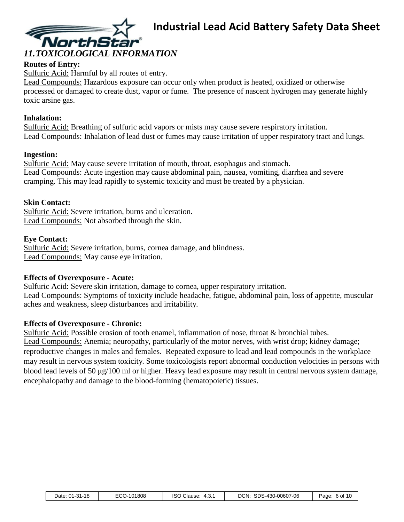

### **Routes of Entry:**

Sulfuric Acid: Harmful by all routes of entry.

Lead Compounds: Hazardous exposure can occur only when product is heated, oxidized or otherwise processed or damaged to create dust, vapor or fume. The presence of nascent hydrogen may generate highly toxic arsine gas.

#### **Inhalation:**

Sulfuric Acid: Breathing of sulfuric acid vapors or mists may cause severe respiratory irritation. Lead Compounds: Inhalation of lead dust or fumes may cause irritation of upper respiratory tract and lungs.

#### **Ingestion:**

Sulfuric Acid: May cause severe irritation of mouth, throat, esophagus and stomach. Lead Compounds: Acute ingestion may cause abdominal pain, nausea, vomiting, diarrhea and severe cramping. This may lead rapidly to systemic toxicity and must be treated by a physician.

#### **Skin Contact:**

Sulfuric Acid: Severe irritation, burns and ulceration. Lead Compounds: Not absorbed through the skin.

#### **Eye Contact:**

Sulfuric Acid: Severe irritation, burns, cornea damage, and blindness. Lead Compounds: May cause eye irritation.

#### **Effects of Overexposure - Acute:**

Sulfuric Acid: Severe skin irritation, damage to cornea, upper respiratory irritation. Lead Compounds: Symptoms of toxicity include headache, fatigue, abdominal pain, loss of appetite, muscular aches and weakness, sleep disturbances and irritability.

#### **Effects of Overexposure - Chronic:**

Sulfuric Acid: Possible erosion of tooth enamel, inflammation of nose, throat & bronchial tubes. Lead Compounds: Anemia; neuropathy, particularly of the motor nerves, with wrist drop; kidney damage; reproductive changes in males and females. Repeated exposure to lead and lead compounds in the workplace may result in nervous system toxicity. Some toxicologists report abnormal conduction velocities in persons with blood lead levels of 50 μg/100 ml or higher. Heavy lead exposure may result in central nervous system damage, encephalopathy and damage to the blood-forming (hematopoietic) tissues.

| Date: 01-31-18 | ECO-101808 | <b>ISO Clause:</b><br>4.3. | SDS-430-00607-06<br>DCN. | 6 of 10<br>Page: |
|----------------|------------|----------------------------|--------------------------|------------------|
|----------------|------------|----------------------------|--------------------------|------------------|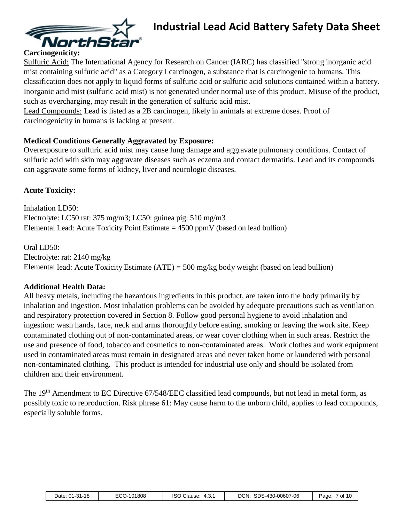

#### **Carcinogenicity:**

Sulfuric Acid: The International Agency for Research on Cancer (IARC) has classified "strong inorganic acid mist containing sulfuric acid" as a Category I carcinogen, a substance that is carcinogenic to humans. This classification does not apply to liquid forms of sulfuric acid or sulfuric acid solutions contained within a battery. Inorganic acid mist (sulfuric acid mist) is not generated under normal use of this product. Misuse of the product, such as overcharging, may result in the generation of sulfuric acid mist.

Lead Compounds: Lead is listed as a 2B carcinogen, likely in animals at extreme doses. Proof of carcinogenicity in humans is lacking at present.

#### **Medical Conditions Generally Aggravated by Exposure:**

Overexposure to sulfuric acid mist may cause lung damage and aggravate pulmonary conditions. Contact of sulfuric acid with skin may aggravate diseases such as eczema and contact dermatitis. Lead and its compounds can aggravate some forms of kidney, liver and neurologic diseases.

#### **Acute Toxicity:**

Inhalation LD50: Electrolyte: LC50 rat: 375 mg/m3; LC50: guinea pig: 510 mg/m3 Elemental Lead: Acute Toxicity Point Estimate  $= 4500$  ppmV (based on lead bullion)

Oral LD50: Electrolyte: rat: 2140 mg/kg Elemental lead: Acute Toxicity Estimate (ATE) = 500 mg/kg body weight (based on lead bullion)

#### **Additional Health Data:**

All heavy metals, including the hazardous ingredients in this product, are taken into the body primarily by inhalation and ingestion. Most inhalation problems can be avoided by adequate precautions such as ventilation and respiratory protection covered in Section 8. Follow good personal hygiene to avoid inhalation and ingestion: wash hands, face, neck and arms thoroughly before eating, smoking or leaving the work site. Keep contaminated clothing out of non-contaminated areas, or wear cover clothing when in such areas. Restrict the use and presence of food, tobacco and cosmetics to non-contaminated areas. Work clothes and work equipment used in contaminated areas must remain in designated areas and never taken home or laundered with personal non-contaminated clothing. This product is intended for industrial use only and should be isolated from children and their environment.

The 19<sup>th</sup> Amendment to EC Directive 67/548/EEC classified lead compounds, but not lead in metal form, as possibly toxic to reproduction. Risk phrase 61: May cause harm to the unborn child, applies to lead compounds, especially soluble forms.

|  | Date: 01-31-18 | <sup>-</sup> CO-101808 | ISO<br>Clause:<br>4.3. | SDS-430-00607-06<br>DCN. | of 10<br>Page: |
|--|----------------|------------------------|------------------------|--------------------------|----------------|
|--|----------------|------------------------|------------------------|--------------------------|----------------|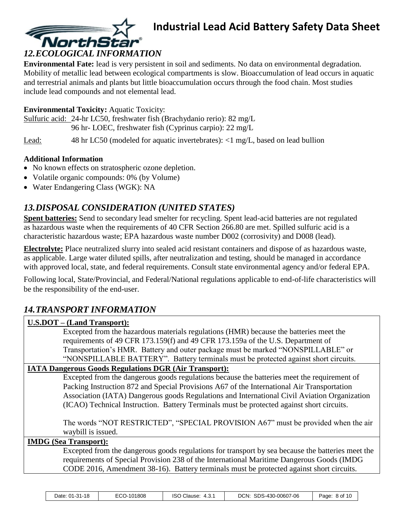

#### **Environmental Fate:** lead is very persistent in soil and sediments. No data on environmental degradation. Mobility of metallic lead between ecological compartments is slow. Bioaccumulation of lead occurs in aquatic and terrestrial animals and plants but little bioaccumulation occurs through the food chain. Most studies include lead compounds and not elemental lead.

#### **Environmental Toxicity:** Aquatic Toxicity:

Sulfuric acid: 24-hr LC50, freshwater fish (Brachydanio rerio): 82 mg/L 96 hr- LOEC, freshwater fish (Cyprinus carpio): 22 mg/L

Lead: 48 hr LC50 (modeled for aquatic invertebrates): <1 mg/L, based on lead bullion

#### **Additional Information**

- No known effects on stratospheric ozone depletion.
- Volatile organic compounds: 0% (by Volume)
- Water Endangering Class (WGK): NA

## *13.DISPOSAL CONSIDERATION (UNITED STATES)*

**Spent batteries:** Send to secondary lead smelter for recycling. Spent lead-acid batteries are not regulated as hazardous waste when the requirements of 40 CFR Section 266.80 are met. Spilled sulfuric acid is a characteristic hazardous waste; EPA hazardous waste number D002 (corrosivity) and D008 (lead).

**Electrolyte:** Place neutralized slurry into sealed acid resistant containers and dispose of as hazardous waste, as applicable. Large water diluted spills, after neutralization and testing, should be managed in accordance with approved local, state, and federal requirements. Consult state environmental agency and/or federal EPA.

Following local, State/Provincial, and Federal/National regulations applicable to end-of-life characteristics will be the responsibility of the end-user.

# *14.TRANSPORT INFORMATION*

| U.S.DOT – (Land Transport):                                                                             |
|---------------------------------------------------------------------------------------------------------|
| Excepted from the hazardous materials regulations (HMR) because the batteries meet the                  |
| requirements of 49 CFR 173.159(f) and 49 CFR 173.159a of the U.S. Department of                         |
| Transportation's HMR. Battery and outer package must be marked "NONSPILLABLE" or                        |
| "NONSPILLABLE BATTERY". Battery terminals must be protected against short circuits.                     |
| <b>IATA Dangerous Goods Regulations DGR (Air Transport):</b>                                            |
| Excepted from the dangerous goods regulations because the batteries meet the requirement of             |
| Packing Instruction 872 and Special Provisions A67 of the International Air Transportation              |
| Association (IATA) Dangerous goods Regulations and International Civil Aviation Organization            |
| (ICAO) Technical Instruction. Battery Terminals must be protected against short circuits.               |
| The words "NOT RESTRICTED", "SPECIAL PROVISION A67" must be provided when the air<br>waybill is issued. |
| <b>IMDG</b> (Sea Transport):                                                                            |
| Excepted from the dangerous goods regulations for transport by sea because the batteries meet the       |
| requirements of Special Provision 238 of the International Maritime Dangerous Goods (IMDG)              |

CODE 2016, Amendment 38-16). Battery terminals must be protected against short circuits.

| $\sim$<br>101808<br>$01-31-18$<br>Date:<br>. .<br>.uu | המו<br>Clause:<br>יהו<br>u. | SDS-430-00607-06<br>DCN: | 8 of 10<br>Page |
|-------------------------------------------------------|-----------------------------|--------------------------|-----------------|
|-------------------------------------------------------|-----------------------------|--------------------------|-----------------|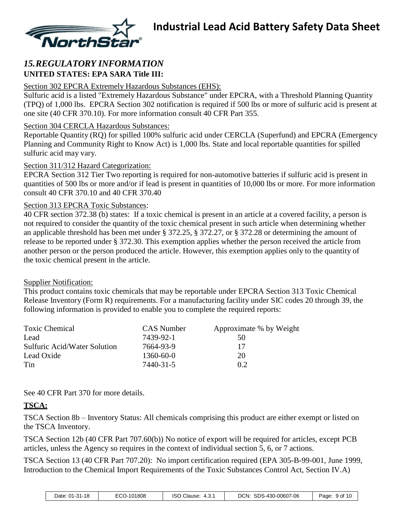

### *15.REGULATORY INFORMATION* **UNITED STATES: EPA SARA Title III:**

#### Section 302 EPCRA Extremely Hazardous Substances (EHS):

Sulfuric acid is a listed "Extremely Hazardous Substance" under EPCRA, with a Threshold Planning Quantity (TPQ) of 1,000 lbs. EPCRA Section 302 notification is required if 500 lbs or more of sulfuric acid is present at one site (40 CFR 370.10). For more information consult 40 CFR Part 355.

#### Section 304 CERCLA Hazardous Substances:

Reportable Quantity (RQ) for spilled 100% sulfuric acid under CERCLA (Superfund) and EPCRA (Emergency Planning and Community Right to Know Act) is 1,000 lbs. State and local reportable quantities for spilled sulfuric acid may vary.

#### Section 311/312 Hazard Categorization:

EPCRA Section 312 Tier Two reporting is required for non-automotive batteries if sulfuric acid is present in quantities of 500 lbs or more and/or if lead is present in quantities of 10,000 lbs or more. For more information consult 40 CFR 370.10 and 40 CFR 370.40

#### Section 313 EPCRA Toxic Substances:

40 CFR section 372.38 (b) states: If a toxic chemical is present in an article at a covered facility, a person is not required to consider the quantity of the toxic chemical present in such article when determining whether an applicable threshold has been met under § 372.25, § 372.27, or § 372.28 or determining the amount of release to be reported under § 372.30. This exemption applies whether the person received the article from another person or the person produced the article. However, this exemption applies only to the quantity of the toxic chemical present in the article.

#### Supplier Notification:

This product contains toxic chemicals that may be reportable under EPCRA Section 313 Toxic Chemical Release Inventory (Form R) requirements. For a manufacturing facility under SIC codes 20 through 39, the following information is provided to enable you to complete the required reports:

| <b>Toxic Chemical</b>        | <b>CAS</b> Number | Approximate % by Weight |
|------------------------------|-------------------|-------------------------|
| Lead                         | 7439-92-1         | 50                      |
| Sulfuric Acid/Water Solution | 7664-93-9         | 17                      |
| Lead Oxide                   | $1360 - 60 - 0$   | 20                      |
| Tin                          | 7440-31-5         | 0.2                     |

See 40 CFR Part 370 for more details.

### **TSCA:**

TSCA Section 8b – Inventory Status: All chemicals comprising this product are either exempt or listed on the TSCA Inventory.

TSCA Section 12b (40 CFR Part 707.60(b)) No notice of export will be required for articles, except PCB articles, unless the Agency so requires in the context of individual section 5, 6, or 7 actions.

TSCA Section 13 (40 CFR Part 707.20): No import certification required (EPA 305-B-99-001, June 1999, Introduction to the Chemical Import Requirements of the Toxic Substances Control Act, Section IV.A)

| $01-31-18$<br>Date: | <b>-00</b><br>J-101808<br>LUU- | iso<br>Clause:<br>. 4.د. | SDS-430-0<br>DCN:<br>$-00607 - 06$ | 9 of 10<br>Page: |
|---------------------|--------------------------------|--------------------------|------------------------------------|------------------|
|---------------------|--------------------------------|--------------------------|------------------------------------|------------------|